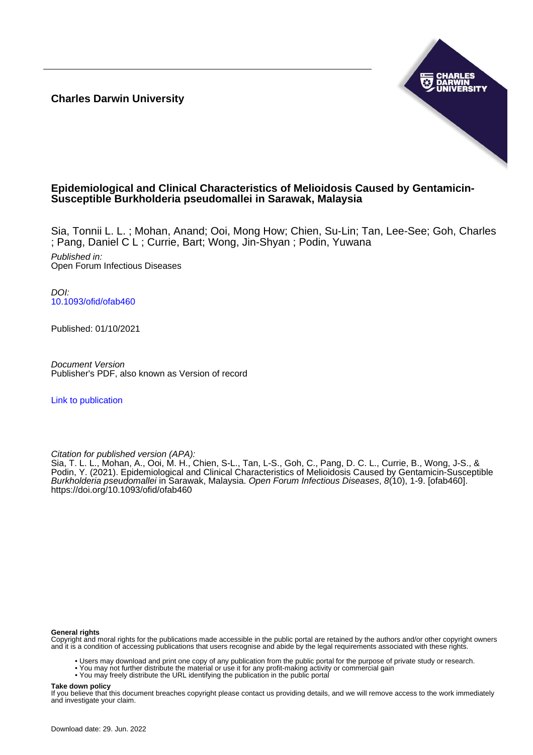**Charles Darwin University**



# **Epidemiological and Clinical Characteristics of Melioidosis Caused by Gentamicin-Susceptible Burkholderia pseudomallei in Sarawak, Malaysia**

Sia, Tonnii L. L. ; Mohan, Anand; Ooi, Mong How; Chien, Su-Lin; Tan, Lee-See; Goh, Charles ; Pang, Daniel C L ; Currie, Bart; Wong, Jin-Shyan ; Podin, Yuwana

Published in: Open Forum Infectious Diseases

DOI: [10.1093/ofid/ofab460](https://doi.org/10.1093/ofid/ofab460)

Published: 01/10/2021

Document Version Publisher's PDF, also known as Version of record

[Link to publication](https://researchers.cdu.edu.au/en/publications/7a987f67-8c6c-4847-948d-ac5a066fba0c)

Citation for published version (APA):

Sia, T. L. L., Mohan, A., Ooi, M. H., Chien, S-L., Tan, L-S., Goh, C., Pang, D. C. L., Currie, B., Wong, J-S., & Podin, Y. (2021). Epidemiological and Clinical Characteristics of Melioidosis Caused by Gentamicin-Susceptible Burkholderia pseudomallei in Sarawak, Malaysia. Open Forum Infectious Diseases, 8(10), 1-9. [ofab460]. <https://doi.org/10.1093/ofid/ofab460>

#### **General rights**

Copyright and moral rights for the publications made accessible in the public portal are retained by the authors and/or other copyright owners and it is a condition of accessing publications that users recognise and abide by the legal requirements associated with these rights.

- Users may download and print one copy of any publication from the public portal for the purpose of private study or research.
- You may not further distribute the material or use it for any profit-making activity or commercial gain
- You may freely distribute the URL identifying the publication in the public portal

## **Take down policy**

If you believe that this document breaches copyright please contact us providing details, and we will remove access to the work immediately and investigate your claim.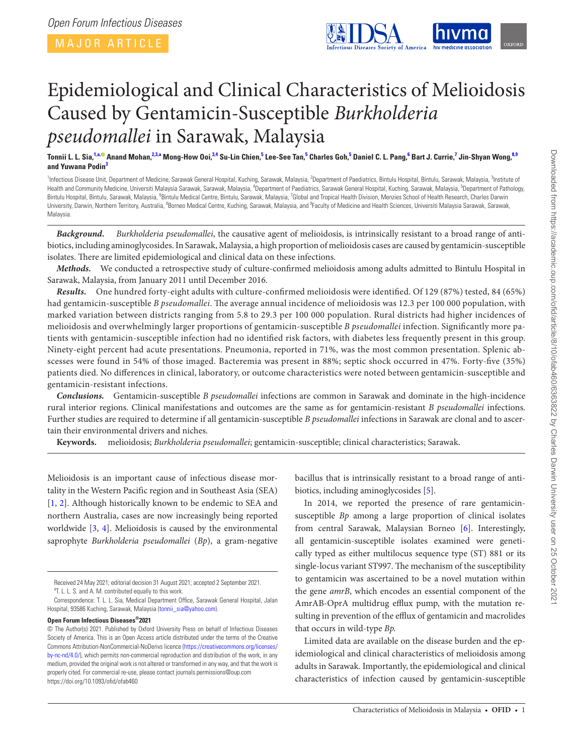

<span id="page-1-9"></span><span id="page-1-7"></span><span id="page-1-5"></span><span id="page-1-3"></span>

# Epidemiological and Clinical Characteristics of Melioidosis Caused by Gentamicin-Susceptible *Burkholderia pseudomallei* in Sarawak, Malaysia

Tonnii L. L. Sia,<sup>[1,](#page-1-0)[a](#page-1-1),©</sup> Anand Mohan,<sup>[2](#page-1-2)[,3](#page-1-3),a</sup> Mong-How Ooi,<sup>[3](#page-1-3),[4](#page-1-4)</sup> Su-Lin Chien,<sup>[5](#page-1-5)</sup> Lee-See Tan,<sup>5</sup> Charles Goh,<sup>5</sup> Daniel C. L. Pang,<sup>[6](#page-1-6)</sup> Bart J. Currie,<sup>[7](#page-1-7)</sup> Jin-Shyan Wong,<sup>[8](#page-1-8),[9](#page-1-9)</sup> **and Yuwana Podin[3](#page-1-3)**

<span id="page-1-8"></span><span id="page-1-6"></span><span id="page-1-4"></span><span id="page-1-2"></span><span id="page-1-0"></span><sup>1</sup>Infectious Disease Unit, Department of Medicine, Sarawak General Hospital, Kuching, Sarawak, Malaysia, <sup>2</sup>Department of Paediatrics, Bintulu Hospital, Bintulu, Sarawak, Malaysia, <sup>3</sup>Institute of Health and Community Medicine, Universiti Malaysia Sarawak, Sarawak, Malaysia, <sup>4</sup>Department of Paediatrics, Sarawak General Hospital, Kuching, Sarawak, Malaysia, <sup>5</sup>Department of Pathology, Bintulu Hospital, Bintulu, Sarawak, Malaysia, <sup>6</sup>Bintulu Medical Centre, Bintulu, Sarawak, Malaysia, <sup>7</sup>Global and Tropical Health Division, Menzies School of Health Research, Charles Darwin University, Darwin, Northern Territory, Australia, <sup>8</sup>Borneo Medical Centre, Kuching, Sarawak, Malaysia, and <sup>9</sup>Faculty of Medicine and Health Sciences, Universiti Malaysia Sarawak, Sarawak, Malaysia.

*Background. Burkholderia pseudomallei*, the causative agent of melioidosis, is intrinsically resistant to a broad range of antibiotics, including aminoglycosides. In Sarawak, Malaysia, a high proportion of melioidosis cases are caused by gentamicin-susceptible isolates. There are limited epidemiological and clinical data on these infections.

*Methods.* We conducted a retrospective study of culture-confirmed melioidosis among adults admitted to Bintulu Hospital in Sarawak, Malaysia, from January 2011 until December 2016.

*Results.* One hundred forty-eight adults with culture-confirmed melioidosis were identified. Of 129 (87%) tested, 84 (65%) had gentamicin-susceptible *B pseudomallei*. The average annual incidence of melioidosis was 12.3 per 100 000 population, with marked variation between districts ranging from 5.8 to 29.3 per 100 000 population. Rural districts had higher incidences of melioidosis and overwhelmingly larger proportions of gentamicin-susceptible *B pseudomallei* infection. Significantly more patients with gentamicin-susceptible infection had no identified risk factors, with diabetes less frequently present in this group. Ninety-eight percent had acute presentations. Pneumonia, reported in 71%, was the most common presentation. Splenic abscesses were found in 54% of those imaged. Bacteremia was present in 88%; septic shock occurred in 47%. Forty-five (35%) patients died. No differences in clinical, laboratory, or outcome characteristics were noted between gentamicin-susceptible and gentamicin-resistant infections.

*Conclusions.* Gentamicin-susceptible *B pseudomallei* infections are common in Sarawak and dominate in the high-incidence rural interior regions. Clinical manifestations and outcomes are the same as for gentamicin-resistant *B pseudomallei* infections. Further studies are required to determine if all gentamicin-susceptible *B pseudomallei* infections in Sarawak are clonal and to ascertain their environmental drivers and niches.

**Keywords.** melioidosis; *Burkholderia pseudomallei*; gentamicin-susceptible; clinical characteristics; Sarawak.

Melioidosis is an important cause of infectious disease mortality in the Western Pacific region and in Southeast Asia (SEA) [\[1,](#page-8-0) [2](#page-8-1)]. Although historically known to be endemic to SEA and northern Australia, cases are now increasingly being reported worldwide [[3](#page-8-2), [4](#page-8-3)]. Melioidosis is caused by the environmental saprophyte *Burkholderia pseudomallei* (*Bp*), a gram-negative

#### **Open Forum Infectious Diseases®2021**

bacillus that is intrinsically resistant to a broad range of antibiotics, including aminoglycosides [\[5\]](#page-8-4).

In 2014, we reported the presence of rare gentamicinsusceptible *Bp* among a large proportion of clinical isolates from central Sarawak, Malaysian Borneo [[6](#page-8-5)]. Interestingly, all gentamicin-susceptible isolates examined were genetically typed as either multilocus sequence type (ST) 881 or its single-locus variant ST997. The mechanism of the susceptibility to gentamicin was ascertained to be a novel mutation within the gene *amrB*, which encodes an essential component of the AmrAB-OprA multidrug efflux pump, with the mutation resulting in prevention of the efflux of gentamicin and macrolides that occurs in wild-type *Bp.*

Limited data are available on the disease burden and the epidemiological and clinical characteristics of melioidosis among adults in Sarawak. Importantly, the epidemiological and clinical characteristics of infection caused by gentamicin-susceptible

Received 24 May 2021; editorial decision 31 August 2021; accepted 2 September 2021.

<span id="page-1-1"></span><sup>&</sup>lt;sup>a</sup>T. L. L. S. and A. M. contributed equally to this work.

Correspondence: T. L. L. Sia, Medical Department Office, Sarawak General Hospital, Jalan Hospital, 93586 Kuching, Sarawak, Malaysia [\(tonnii\\_sia@yahoo.com](mailto:tonnii_sia@yahoo.com?subject=)).

<sup>©</sup> The Author(s) 2021. Published by Oxford University Press on behalf of Infectious Diseases Society of America. This is an Open Access article distributed under the terms of the Creative Commons Attribution-NonCommercial-NoDerivs licence ([https://creativecommons.org/licenses/](https://creativecommons.org/licenses/by-nc-nd/4.0/) [by-nc-nd/4.0/\)](https://creativecommons.org/licenses/by-nc-nd/4.0/), which permits non-commercial reproduction and distribution of the work, in any medium, provided the original work is not altered or transformed in any way, and that the work is properly cited. For commercial re-use, please contact journals.permissions@oup.com <https://doi.org/10.1093/ofid/ofab460>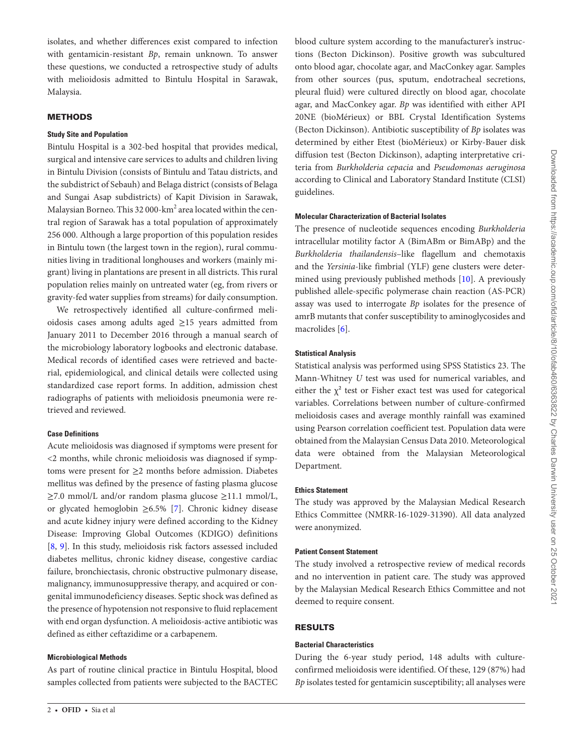isolates, and whether differences exist compared to infection with gentamicin-resistant *Bp*, remain unknown. To answer these questions, we conducted a retrospective study of adults with melioidosis admitted to Bintulu Hospital in Sarawak, Malaysia.

# **METHODS**

## **Study Site and Population**

Bintulu Hospital is a 302-bed hospital that provides medical, surgical and intensive care services to adults and children living in Bintulu Division (consists of Bintulu and Tatau districts, and the subdistrict of Sebauh) and Belaga district (consists of Belaga and Sungai Asap subdistricts) of Kapit Division in Sarawak, Malaysian Borneo. This 32 000- $\mathrm{km}^2$  area located within the central region of Sarawak has a total population of approximately 256 000. Although a large proportion of this population resides in Bintulu town (the largest town in the region), rural communities living in traditional longhouses and workers (mainly migrant) living in plantations are present in all districts. This rural population relies mainly on untreated water (eg, from rivers or gravity-fed water supplies from streams) for daily consumption.

We retrospectively identified all culture-confirmed melioidosis cases among adults aged ≥15 years admitted from January 2011 to December 2016 through a manual search of the microbiology laboratory logbooks and electronic database. Medical records of identified cases were retrieved and bacterial, epidemiological, and clinical details were collected using standardized case report forms. In addition, admission chest radiographs of patients with melioidosis pneumonia were retrieved and reviewed.

# **Case Definitions**

Acute melioidosis was diagnosed if symptoms were present for <2 months, while chronic melioidosis was diagnosed if symptoms were present for ≥2 months before admission. Diabetes mellitus was defined by the presence of fasting plasma glucose ≥7.0 mmol/L and/or random plasma glucose ≥11.1 mmol/L, or glycated hemoglobin ≥6.5% [\[7\]](#page-8-6). Chronic kidney disease and acute kidney injury were defined according to the Kidney Disease: Improving Global Outcomes (KDIGO) definitions [\[8,](#page-8-7) [9\]](#page-8-8). In this study, melioidosis risk factors assessed included diabetes mellitus, chronic kidney disease, congestive cardiac failure, bronchiectasis, chronic obstructive pulmonary disease, malignancy, immunosuppressive therapy, and acquired or congenital immunodeficiency diseases. Septic shock was defined as the presence of hypotension not responsive to fluid replacement with end organ dysfunction. A melioidosis-active antibiotic was defined as either ceftazidime or a carbapenem.

#### **Microbiological Methods**

As part of routine clinical practice in Bintulu Hospital, blood samples collected from patients were subjected to the BACTEC blood culture system according to the manufacturer's instructions (Becton Dickinson). Positive growth was subcultured onto blood agar, chocolate agar, and MacConkey agar. Samples from other sources (pus, sputum, endotracheal secretions, pleural fluid) were cultured directly on blood agar, chocolate agar, and MacConkey agar. *Bp* was identified with either API 20NE (bioMérieux) or BBL Crystal Identification Systems (Becton Dickinson). Antibiotic susceptibility of *Bp* isolates was determined by either Etest (bioMérieux) or Kirby-Bauer disk diffusion test (Becton Dickinson), adapting interpretative criteria from *Burkholderia cepacia* and *Pseudomonas aeruginosa* according to Clinical and Laboratory Standard Institute (CLSI) guidelines.

#### **Molecular Characterization of Bacterial Isolates**

The presence of nucleotide sequences encoding *Burkholderia* intracellular motility factor A (BimABm or BimABp) and the *Burkholderia thailandensis*–like flagellum and chemotaxis and the *Yersinia*-like fimbrial (YLF) gene clusters were determined using previously published methods [[10\]](#page-8-9). A previously published allele-specific polymerase chain reaction (AS-PCR) assay was used to interrogate *Bp* isolates for the presence of amrB mutants that confer susceptibility to aminoglycosides and macrolides [\[6\]](#page-8-5).

# **Statistical Analysis**

Statistical analysis was performed using SPSS Statistics 23. The Mann-Whitney *U* test was used for numerical variables, and either the  $\chi^2$  test or Fisher exact test was used for categorical variables. Correlations between number of culture-confirmed melioidosis cases and average monthly rainfall was examined using Pearson correlation coefficient test. Population data were obtained from the Malaysian Census Data 2010. Meteorological data were obtained from the Malaysian Meteorological Department.

# **Ethics Statement**

The study was approved by the Malaysian Medical Research Ethics Committee (NMRR-16-1029-31390). All data analyzed were anonymized.

# **Patient Consent Statement**

The study involved a retrospective review of medical records and no intervention in patient care. The study was approved by the Malaysian Medical Research Ethics Committee and not deemed to require consent.

# RESULTS

# **Bacterial Characteristics**

During the 6-year study period, 148 adults with cultureconfirmed melioidosis were identified. Of these, 129 (87%) had *Bp* isolates tested for gentamicin susceptibility; all analyses were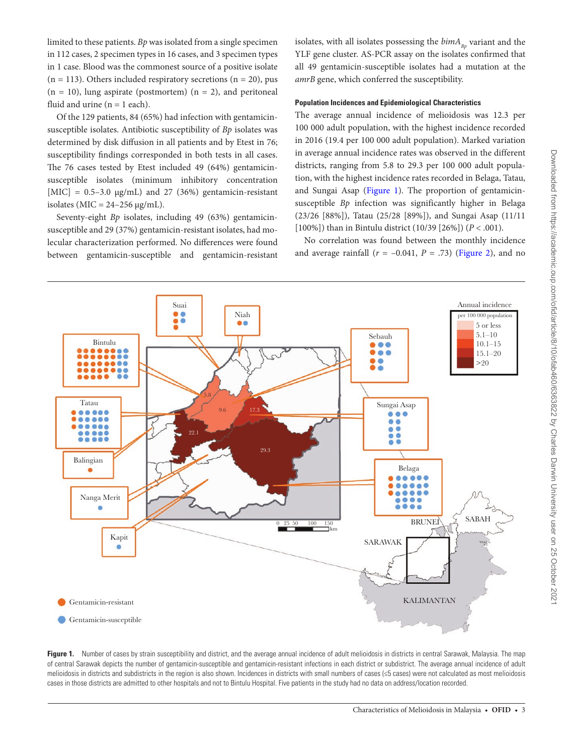limited to these patients. *Bp* was isolated from a single specimen in 112 cases, 2 specimen types in 16 cases, and 3 specimen types in 1 case. Blood was the commonest source of a positive isolate  $(n = 113)$ . Others included respiratory secretions  $(n = 20)$ , pus  $(n = 10)$ , lung aspirate (postmortem)  $(n = 2)$ , and peritoneal fluid and urine  $(n = 1$  each).

Of the 129 patients, 84 (65%) had infection with gentamicinsusceptible isolates. Antibiotic susceptibility of *Bp* isolates was determined by disk diffusion in all patients and by Etest in 76; susceptibility findings corresponded in both tests in all cases. The 76 cases tested by Etest included 49 (64%) gentamicinsusceptible isolates (minimum inhibitory concentration [MIC] =  $0.5-3.0 \text{ µg/mL}$  and 27 (36%) gentamicin-resistant isolates ( $MIC = 24-256 \mu g/mL$ ).

Seventy-eight *Bp* isolates, including 49 (63%) gentamicinsusceptible and 29 (37%) gentamicin-resistant isolates, had molecular characterization performed. No differences were found between gentamicin-susceptible and gentamicin-resistant isolates, with all isolates possessing the  $\text{bimA}_{\text{Bo}}$  variant and the YLF gene cluster. AS-PCR assay on the isolates confirmed that all 49 gentamicin-susceptible isolates had a mutation at the *amrB* gene, which conferred the susceptibility.

#### **Population Incidences and Epidemiological Characteristics**

The average annual incidence of melioidosis was 12.3 per 100 000 adult population, with the highest incidence recorded in 2016 (19.4 per 100 000 adult population). Marked variation in average annual incidence rates was observed in the different districts, ranging from 5.8 to 29.3 per 100 000 adult population, with the highest incidence rates recorded in Belaga, Tatau, and Sungai Asap [\(Figure 1](#page-3-0)). The proportion of gentamicinsusceptible *Bp* infection was significantly higher in Belaga (23/26 [88%]), Tatau (25/28 [89%]), and Sungai Asap (11/11 [100%]) than in Bintulu district (10/39 [26%]) (*P* < .001).

No correlation was found between the monthly incidence and average rainfall  $(r = -0.041, P = .73)$  ([Figure 2](#page-4-0)), and no



<span id="page-3-0"></span>Figure 1. Number of cases by strain susceptibility and district, and the average annual incidence of adult melioidosis in districts in central Sarawak, Malaysia. The map of central Sarawak depicts the number of gentamicin-susceptible and gentamicin-resistant infections in each district or subdistrict. The average annual incidence of adult melioidosis in districts and subdistricts in the region is also shown. Incidences in districts with small numbers of cases (≤5 cases) were not calculated as most melioidosis cases in those districts are admitted to other hospitals and not to Bintulu Hospital. Five patients in the study had no data on address/location recorded.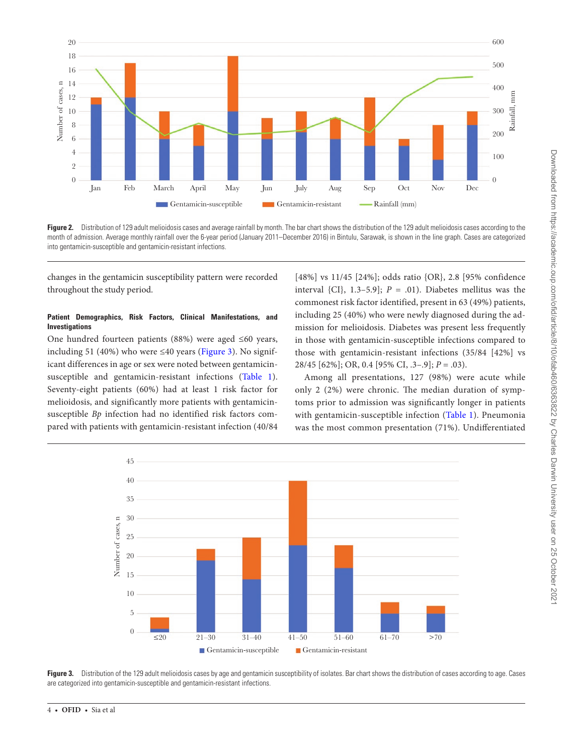

<span id="page-4-0"></span>Figure 2. Distribution of 129 adult melioidosis cases and average rainfall by month. The bar chart shows the distribution of the 129 adult melioidosis cases according to the month of admission. Average monthly rainfall over the 6-year period (January 2011–December 2016) in Bintulu, Sarawak, is shown in the line graph. Cases are categorized into gentamicin-susceptible and gentamicin-resistant infections.

changes in the gentamicin susceptibility pattern were recorded throughout the study period.

#### **Patient Demographics, Risk Factors, Clinical Manifestations, and Investigations**

One hundred fourteen patients (88%) were aged ≤60 years, including 51 (40%) who were  $\leq$ 40 years ([Figure 3\)](#page-4-1). No significant differences in age or sex were noted between gentamicinsusceptible and gentamicin-resistant infections [\(Table 1](#page-5-0)). Seventy-eight patients (60%) had at least 1 risk factor for melioidosis, and significantly more patients with gentamicinsusceptible *Bp* infection had no identified risk factors compared with patients with gentamicin-resistant infection (40/84

[48%] vs 11/45 [24%]; odds ratio {OR}, 2.8 [95% confidence interval {CI},  $1.3-5.9$ };  $P = .01$ ). Diabetes mellitus was the commonest risk factor identified, present in 63 (49%) patients, including 25 (40%) who were newly diagnosed during the admission for melioidosis. Diabetes was present less frequently in those with gentamicin-susceptible infections compared to those with gentamicin-resistant infections (35/84 [42%] vs 28/45 [62%]; OR, 0.4 [95% CI, .3–.9]; *P* = .03).

Among all presentations, 127 (98%) were acute while only 2 (2%) were chronic. The median duration of symptoms prior to admission was significantly longer in patients with gentamicin-susceptible infection [\(Table 1](#page-5-0)). Pneumonia was the most common presentation (71%). Undifferentiated



<span id="page-4-1"></span>Figure 3. Distribution of the 129 adult melioidosis cases by age and gentamicin susceptibility of isolates. Bar chart shows the distribution of cases according to age. Cases are categorized into gentamicin-susceptible and gentamicin-resistant infections.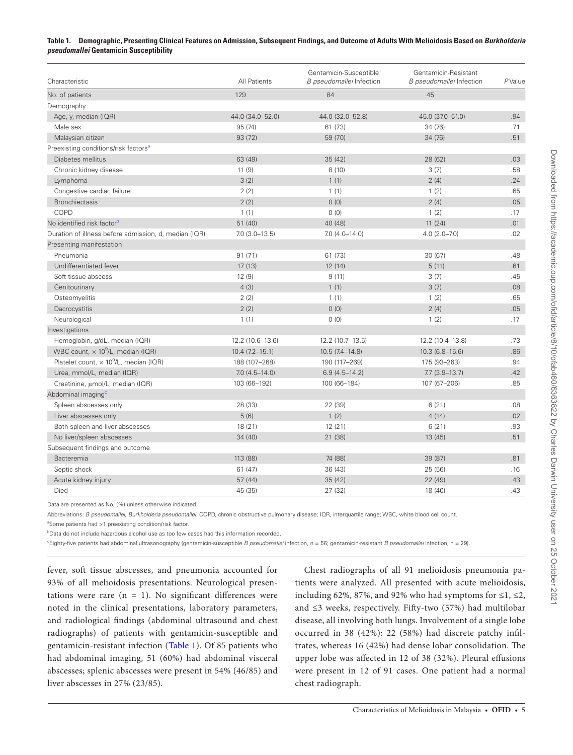#### <span id="page-5-0"></span>**Table 1. Demographic, Presenting Clinical Features on Admission, Subsequent Findings, and Outcome of Adults With Melioidosis Based on** *Burkholderia pseudomallei* **Gentamicin Susceptibility**

| Characteristic                                            | All Patients         | Gentamicin-Susceptible<br>B pseudomallei Infection | Gentamicin-Resistant<br>B pseudomallei Infection | PValue |
|-----------------------------------------------------------|----------------------|----------------------------------------------------|--------------------------------------------------|--------|
| No. of patients                                           | 129                  | 84                                                 | 45                                               |        |
| Demography                                                |                      |                                                    |                                                  |        |
| Age, y, median (IQR)                                      | 44.0 (34.0-52.0)     | 44.0 (32.0-52.8)                                   | 45.0 (37.0-51.0)                                 | .94    |
| Male sex                                                  | 95 (74)              | 61 (73)                                            | 34 (76)                                          | .71    |
| Malaysian citizen                                         | 93 (72)              | 59 (70)                                            | 34 (76)                                          | .51    |
| Preexisting conditions/risk factors <sup>a</sup>          |                      |                                                    |                                                  |        |
| Diabetes mellitus                                         | 63 (49)              | 35 (42)                                            | 28 (62)                                          | .03    |
| Chronic kidney disease                                    | 11(9)                | 8(10)                                              | 3(7)                                             | .58    |
| Lymphoma                                                  | 3(2)                 | 1(1)                                               | 2(4)                                             | .24    |
| Congestive cardiac failure                                | 2(2)                 | 1(1)                                               | 1(2)                                             | .65    |
| <b>Bronchiectasis</b>                                     | 2(2)                 | (0)                                                | 2(4)                                             | .05    |
| COPD                                                      | 1(1)                 | 0(0)                                               | 1(2)                                             | .17    |
| No identified risk factor <sup>b</sup>                    | 51(40)               | 40 (48)                                            | 11(24)                                           | .01    |
| Duration of illness before admission, d, median (IQR)     | $7.0$ $(3.0 - 13.5)$ | $7.0(4.0-14.0)$                                    | $4.0(2.0 - 7.0)$                                 | .02    |
| Presenting manifestation                                  |                      |                                                    |                                                  |        |
| Pneumonia                                                 | 91(71)               | 61 (73)                                            | 30 (67)                                          | .48    |
| Undifferentiated fever                                    | 17(13)               | 12(14)                                             | 5(11)                                            | .61    |
| Soft tissue abscess                                       | 12(9)                | 9(11)                                              | 3(7)                                             | .45    |
| Genitourinary                                             | 4(3)                 | 1(1)                                               | 3(7)                                             | .08    |
| Osteomyelitis                                             | 2(2)                 | 1(1)                                               | 1(2)                                             | .65    |
| Dacrocystitis                                             | 2(2)                 | 0(0)                                               | 2(4)                                             | .05    |
| Neurological                                              | 1(1)                 | 0(0)                                               | 1(2)                                             | .17    |
| Investigations                                            |                      |                                                    |                                                  |        |
| Hemoglobin, g/dL, median (IQR)                            | 12.2 (10.6-13.6)     | 12.2 (10.7-13.5)                                   | 12.2 (10.4-13.8)                                 | .73    |
| WBC count, $\times$ 10 <sup>9</sup> /L, median (IQR)      | $10.4(7.2 - 15.1)$   | $10.5(7.4 - 14.8)$                                 | $10.3(6.8 - 15.6)$                               | .86    |
| Platelet count, $\times$ 10 <sup>9</sup> /L, median (IQR) | 188 (107-268)        | 190 (117-269)                                      | 175 (93-263)                                     | .94    |
| Urea, mmol/L, median (IQR)                                | $7.0(4.5 - 14.0)$    | $6.9(4.5 - 14.2)$                                  | $7.7(3.9-13.7)$                                  | .42    |
| Creatinine, µmol/L, median (IQR)                          | 103 (66-192)         | 100 (66-184)                                       | 107 (67-206)                                     | .85    |
| Abdominal imaging <sup>c</sup>                            |                      |                                                    |                                                  |        |
| Spleen abscesses only                                     | 28 (33)              | 22 (39)                                            | 6(21)                                            | .08    |
| Liver abscesses only                                      | 5(6)                 | 1(2)                                               | 4(14)                                            | .02    |
| Both spleen and liver abscesses                           | 18 (21)              | 12(21)                                             | 6(21)                                            | .93    |
| No liver/spleen abscesses                                 | 34(40)               | 21 (38)                                            | 13 (45)                                          | .51    |
| Subsequent findings and outcome                           |                      |                                                    |                                                  |        |
| Bacteremia                                                | 113 (88)             | 74 (88)                                            | 39 (87)                                          | .81    |
| Septic shock                                              | 61(47)               | 36 (43)                                            | 25 (56)                                          | .16    |
| Acute kidney injury                                       | 57(44)               | 35(42)                                             | 22 (49)                                          | .43    |
| Died                                                      | 45 (35)              | 27 (32)                                            | 18 (40)                                          | .43    |

Data are presented as No. (%) unless otherwise indicated.

Abbreviations: *B pseudomallei*, *Burkholderia pseudomallei*; COPD, chronic obstructive pulmonary disease; IQR, interquartile range; WBC, white blood cell count.

<span id="page-5-1"></span><sup>a</sup>Some patients had >1 preexisting condition/risk factor.

<span id="page-5-2"></span>**Data do not include hazardous alcohol use as too few cases had this information recorded.** 

<span id="page-5-3"></span>c Eighty-five patients had abdominal ultrasonography (gentamicin-susceptible *B pseudomallei* infection, n = 56; gentamicin-resistant *B pseudomallei* infection, n = 29).

fever, soft tissue abscesses, and pneumonia accounted for 93% of all melioidosis presentations. Neurological presentations were rare  $(n = 1)$ . No significant differences were noted in the clinical presentations, laboratory parameters, and radiological findings (abdominal ultrasound and chest radiographs) of patients with gentamicin-susceptible and gentamicin-resistant infection ([Table 1](#page-5-0)). Of 85 patients who had abdominal imaging, 51 (60%) had abdominal visceral abscesses; splenic abscesses were present in 54% (46/85) and liver abscesses in 27% (23/85).

Chest radiographs of all 91 melioidosis pneumonia patients were analyzed. All presented with acute melioidosis, including 62%, 87%, and 92% who had symptoms for  $\leq 1, \leq 2$ , and ≤3 weeks, respectively. Fifty-two (57%) had multilobar disease, all involving both lungs. Involvement of a single lobe occurred in 38 (42%): 22 (58%) had discrete patchy infiltrates, whereas 16 (42%) had dense lobar consolidation. The upper lobe was affected in 12 of 38 (32%). Pleural effusions were present in 12 of 91 cases. One patient had a normal chest radiograph.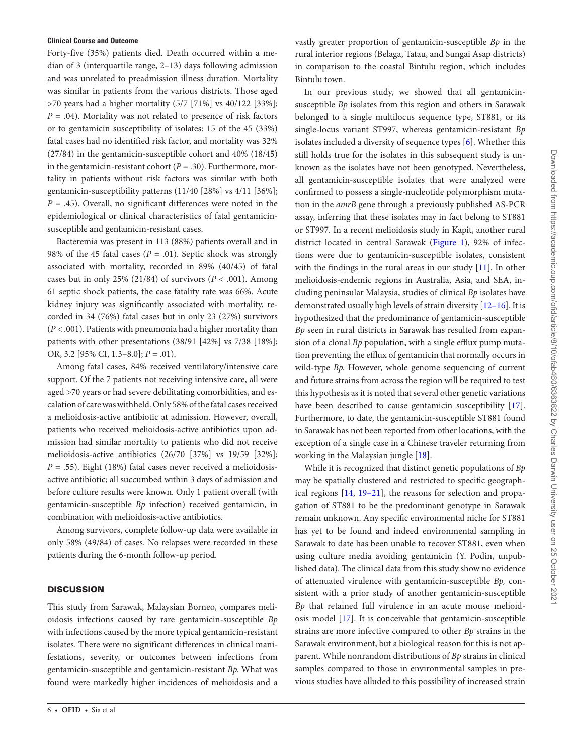#### **Clinical Course and Outcome**

Forty-five (35%) patients died. Death occurred within a median of 3 (interquartile range, 2–13) days following admission and was unrelated to preadmission illness duration. Mortality was similar in patients from the various districts. Those aged >70 years had a higher mortality (5/7 [71%] vs 40/122 [33%]; *P* = .04). Mortality was not related to presence of risk factors or to gentamicin susceptibility of isolates: 15 of the 45 (33%) fatal cases had no identified risk factor, and mortality was 32% (27/84) in the gentamicin-susceptible cohort and 40% (18/45) in the gentamicin-resistant cohort  $(P = .30)$ . Furthermore, mortality in patients without risk factors was similar with both gentamicin-susceptibility patterns (11/40 [28%] vs 4/11 [36%];  $P = .45$ ). Overall, no significant differences were noted in the epidemiological or clinical characteristics of fatal gentamicinsusceptible and gentamicin-resistant cases.

Bacteremia was present in 113 (88%) patients overall and in 98% of the 45 fatal cases ( $P = .01$ ). Septic shock was strongly associated with mortality, recorded in 89% (40/45) of fatal cases but in only 25% (21/84) of survivors ( $P < .001$ ). Among 61 septic shock patients, the case fatality rate was 66%. Acute kidney injury was significantly associated with mortality, recorded in 34 (76%) fatal cases but in only 23 (27%) survivors (*P* < .001). Patients with pneumonia had a higher mortality than patients with other presentations (38/91 [42%] vs 7/38 [18%]; OR, 3.2 [95% CI, 1.3–8.0]; *P* = .01).

Among fatal cases, 84% received ventilatory/intensive care support. Of the 7 patients not receiving intensive care, all were aged >70 years or had severe debilitating comorbidities, and escalation of care was withheld. Only 58% of the fatal cases received a melioidosis-active antibiotic at admission. However, overall, patients who received melioidosis-active antibiotics upon admission had similar mortality to patients who did not receive melioidosis-active antibiotics (26/70 [37%] vs 19/59 [32%]; *P* = .55). Eight (18%) fatal cases never received a melioidosisactive antibiotic; all succumbed within 3 days of admission and before culture results were known. Only 1 patient overall (with gentamicin-susceptible *Bp* infection) received gentamicin, in combination with melioidosis-active antibiotics.

Among survivors, complete follow-up data were available in only 58% (49/84) of cases. No relapses were recorded in these patients during the 6-month follow-up period.

#### **DISCUSSION**

This study from Sarawak, Malaysian Borneo, compares melioidosis infections caused by rare gentamicin-susceptible *Bp* with infections caused by the more typical gentamicin-resistant isolates. There were no significant differences in clinical manifestations, severity, or outcomes between infections from gentamicin-susceptible and gentamicin-resistant *Bp.* What was found were markedly higher incidences of melioidosis and a vastly greater proportion of gentamicin-susceptible *Bp* in the rural interior regions (Belaga, Tatau, and Sungai Asap districts) in comparison to the coastal Bintulu region, which includes Bintulu town.

In our previous study, we showed that all gentamicinsusceptible *Bp* isolates from this region and others in Sarawak belonged to a single multilocus sequence type, ST881, or its single-locus variant ST997, whereas gentamicin-resistant *Bp* isolates included a diversity of sequence types [\[6\]](#page-8-5). Whether this still holds true for the isolates in this subsequent study is unknown as the isolates have not been genotyped. Nevertheless, all gentamicin-susceptible isolates that were analyzed were confirmed to possess a single-nucleotide polymorphism mutation in the *amrB* gene through a previously published AS-PCR assay, inferring that these isolates may in fact belong to ST881 or ST997. In a recent melioidosis study in Kapit, another rural district located in central Sarawak ([Figure 1\)](#page-3-0), 92% of infections were due to gentamicin-susceptible isolates, consistent with the findings in the rural areas in our study [\[11](#page-8-10)]. In other melioidosis-endemic regions in Australia, Asia, and SEA, including peninsular Malaysia, studies of clinical *Bp* isolates have demonstrated usually high levels of strain diversity [[12](#page-8-11)–[16](#page-8-12)]. It is hypothesized that the predominance of gentamicin-susceptible *Bp* seen in rural districts in Sarawak has resulted from expansion of a clonal *Bp* population, with a single efflux pump mutation preventing the efflux of gentamicin that normally occurs in wild-type *Bp.* However, whole genome sequencing of current and future strains from across the region will be required to test this hypothesis as it is noted that several other genetic variations have been described to cause gentamicin susceptibility [\[17](#page-8-13)]. Furthermore, to date, the gentamicin-susceptible ST881 found in Sarawak has not been reported from other locations, with the exception of a single case in a Chinese traveler returning from working in the Malaysian jungle [\[18\]](#page-8-14).

While it is recognized that distinct genetic populations of *Bp* may be spatially clustered and restricted to specific geographical regions [[14](#page-8-15), [19–](#page-8-16)[21\]](#page-8-17), the reasons for selection and propagation of ST881 to be the predominant genotype in Sarawak remain unknown. Any specific environmental niche for ST881 has yet to be found and indeed environmental sampling in Sarawak to date has been unable to recover ST881, even when using culture media avoiding gentamicin (Y. Podin, unpublished data). The clinical data from this study show no evidence of attenuated virulence with gentamicin-susceptible *Bp,* consistent with a prior study of another gentamicin-susceptible *Bp* that retained full virulence in an acute mouse melioidosis model [\[17\]](#page-8-13). It is conceivable that gentamicin-susceptible strains are more infective compared to other *Bp* strains in the Sarawak environment, but a biological reason for this is not apparent. While nonrandom distributions of *Bp* strains in clinical samples compared to those in environmental samples in previous studies have alluded to this possibility of increased strain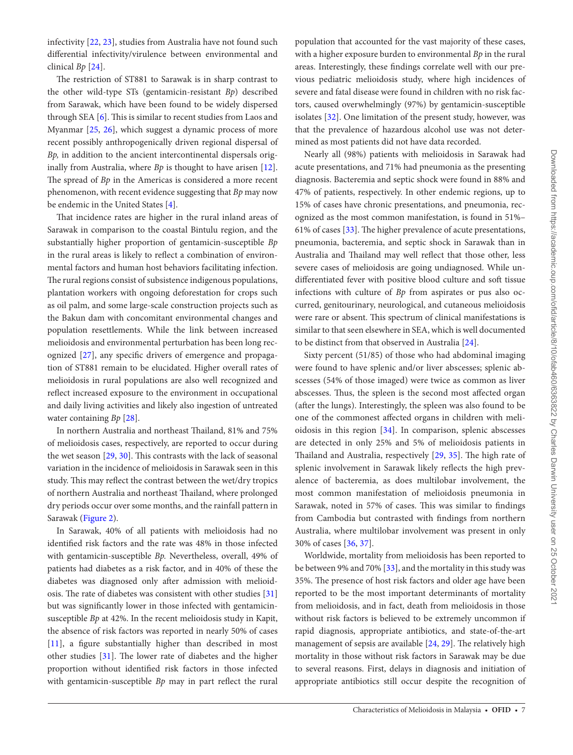infectivity [\[22](#page-8-18), [23\]](#page-8-19), studies from Australia have not found such differential infectivity/virulence between environmental and clinical *Bp* [\[24\]](#page-8-20).

The restriction of ST881 to Sarawak is in sharp contrast to the other wild-type STs (gentamicin-resistant *Bp*) described from Sarawak, which have been found to be widely dispersed through SEA [\[6\]](#page-8-5). This is similar to recent studies from Laos and Myanmar [[25,](#page-8-21) [26](#page-8-22)], which suggest a dynamic process of more recent possibly anthropogenically driven regional dispersal of *Bp,* in addition to the ancient intercontinental dispersals originally from Australia, where *Bp* is thought to have arisen [\[12\]](#page-8-11). The spread of *Bp* in the Americas is considered a more recent phenomenon, with recent evidence suggesting that *Bp* may now be endemic in the United States [\[4](#page-8-3)].

That incidence rates are higher in the rural inland areas of Sarawak in comparison to the coastal Bintulu region, and the substantially higher proportion of gentamicin-susceptible *Bp* in the rural areas is likely to reflect a combination of environmental factors and human host behaviors facilitating infection. The rural regions consist of subsistence indigenous populations, plantation workers with ongoing deforestation for crops such as oil palm, and some large-scale construction projects such as the Bakun dam with concomitant environmental changes and population resettlements. While the link between increased melioidosis and environmental perturbation has been long recognized [[27\]](#page-9-0), any specific drivers of emergence and propagation of ST881 remain to be elucidated. Higher overall rates of melioidosis in rural populations are also well recognized and reflect increased exposure to the environment in occupational and daily living activities and likely also ingestion of untreated water containing *Bp* [[28\]](#page-9-1).

In northern Australia and northeast Thailand, 81% and 75% of melioidosis cases, respectively, are reported to occur during the wet season [[29,](#page-9-2) [30\]](#page-9-3). This contrasts with the lack of seasonal variation in the incidence of melioidosis in Sarawak seen in this study. This may reflect the contrast between the wet/dry tropics of northern Australia and northeast Thailand, where prolonged dry periods occur over some months, and the rainfall pattern in Sarawak [\(Figure 2](#page-4-0)).

In Sarawak, 40% of all patients with melioidosis had no identified risk factors and the rate was 48% in those infected with gentamicin-susceptible *Bp.* Nevertheless, overall, 49% of patients had diabetes as a risk factor, and in 40% of these the diabetes was diagnosed only after admission with melioidosis. The rate of diabetes was consistent with other studies [[31\]](#page-9-4) but was significantly lower in those infected with gentamicinsusceptible *Bp* at 42%. In the recent melioidosis study in Kapit, the absence of risk factors was reported in nearly 50% of cases [\[11](#page-8-10)], a figure substantially higher than described in most other studies [\[31](#page-9-4)]. The lower rate of diabetes and the higher proportion without identified risk factors in those infected with gentamicin-susceptible *Bp* may in part reflect the rural

population that accounted for the vast majority of these cases, with a higher exposure burden to environmental *Bp* in the rural areas. Interestingly, these findings correlate well with our previous pediatric melioidosis study, where high incidences of severe and fatal disease were found in children with no risk factors, caused overwhelmingly (97%) by gentamicin-susceptible isolates [\[32\]](#page-9-5). One limitation of the present study, however, was that the prevalence of hazardous alcohol use was not determined as most patients did not have data recorded.

Nearly all (98%) patients with melioidosis in Sarawak had acute presentations, and 71% had pneumonia as the presenting diagnosis. Bacteremia and septic shock were found in 88% and 47% of patients, respectively. In other endemic regions, up to 15% of cases have chronic presentations, and pneumonia, recognized as the most common manifestation, is found in 51%– 61% of cases [\[33](#page-9-6)]. The higher prevalence of acute presentations, pneumonia, bacteremia, and septic shock in Sarawak than in Australia and Thailand may well reflect that those other, less severe cases of melioidosis are going undiagnosed. While undifferentiated fever with positive blood culture and soft tissue infections with culture of *Bp* from aspirates or pus also occurred, genitourinary, neurological, and cutaneous melioidosis were rare or absent. This spectrum of clinical manifestations is similar to that seen elsewhere in SEA, which is well documented to be distinct from that observed in Australia [\[24](#page-8-20)].

Sixty percent (51/85) of those who had abdominal imaging were found to have splenic and/or liver abscesses; splenic abscesses (54% of those imaged) were twice as common as liver abscesses. Thus, the spleen is the second most affected organ (after the lungs). Interestingly, the spleen was also found to be one of the commonest affected organs in children with melioidosis in this region [\[34\]](#page-9-7). In comparison, splenic abscesses are detected in only 25% and 5% of melioidosis patients in Thailand and Australia, respectively [[29](#page-9-2), [35](#page-9-8)]. The high rate of splenic involvement in Sarawak likely reflects the high prevalence of bacteremia, as does multilobar involvement, the most common manifestation of melioidosis pneumonia in Sarawak, noted in 57% of cases. This was similar to findings from Cambodia but contrasted with findings from northern Australia, where multilobar involvement was present in only 30% of cases [[36,](#page-9-9) [37](#page-9-10)].

Worldwide, mortality from melioidosis has been reported to be between 9% and 70% [\[33\]](#page-9-6), and the mortality in this study was 35%. The presence of host risk factors and older age have been reported to be the most important determinants of mortality from melioidosis, and in fact, death from melioidosis in those without risk factors is believed to be extremely uncommon if rapid diagnosis, appropriate antibiotics, and state-of-the-art management of sepsis are available [\[24](#page-8-20), [29\]](#page-9-2). The relatively high mortality in those without risk factors in Sarawak may be due to several reasons. First, delays in diagnosis and initiation of appropriate antibiotics still occur despite the recognition of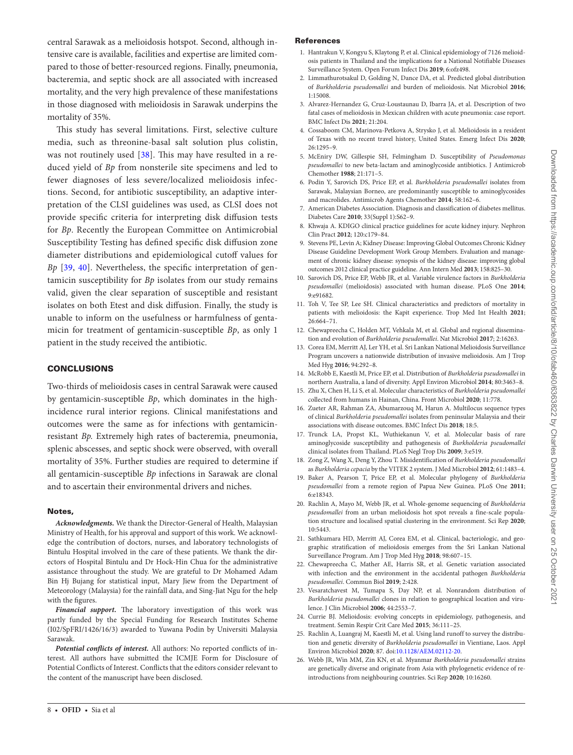central Sarawak as a melioidosis hotspot. Second, although intensive care is available, facilities and expertise are limited compared to those of better-resourced regions. Finally, pneumonia, bacteremia, and septic shock are all associated with increased mortality, and the very high prevalence of these manifestations in those diagnosed with melioidosis in Sarawak underpins the mortality of 35%.

This study has several limitations. First, selective culture media, such as threonine-basal salt solution plus colistin, was not routinely used [[38](#page-9-11)]. This may have resulted in a reduced yield of *Bp* from nonsterile site specimens and led to fewer diagnoses of less severe/localized melioidosis infections. Second, for antibiotic susceptibility, an adaptive interpretation of the CLSI guidelines was used, as CLSI does not provide specific criteria for interpreting disk diffusion tests for *Bp*. Recently the European Committee on Antimicrobial Susceptibility Testing has defined specific disk diffusion zone diameter distributions and epidemiological cutoff values for *Bp* [\[39](#page-9-12), [40](#page-9-13)]. Nevertheless, the specific interpretation of gentamicin susceptibility for *Bp* isolates from our study remains valid, given the clear separation of susceptible and resistant isolates on both Etest and disk diffusion. Finally, the study is unable to inform on the usefulness or harmfulness of gentamicin for treatment of gentamicin-susceptible *Bp*, as only 1 patient in the study received the antibiotic.

# **CONCLUSIONS**

Two-thirds of melioidosis cases in central Sarawak were caused by gentamicin-susceptible *Bp*, which dominates in the highincidence rural interior regions. Clinical manifestations and outcomes were the same as for infections with gentamicinresistant *Bp.* Extremely high rates of bacteremia, pneumonia, splenic abscesses, and septic shock were observed, with overall mortality of 35%. Further studies are required to determine if all gentamicin-susceptible *Bp* infections in Sarawak are clonal and to ascertain their environmental drivers and niches.

#### Notes,

*Acknowledgments.* We thank the Director-General of Health, Malaysian Ministry of Health, for his approval and support of this work. We acknowledge the contribution of doctors, nurses, and laboratory technologists of Bintulu Hospital involved in the care of these patients. We thank the directors of Hospital Bintulu and Dr Hock-Hin Chua for the administrative assistance throughout the study. We are grateful to Dr Mohamed Adam Bin Hj Bujang for statistical input, Mary Jiew from the Department of Meteorology (Malaysia) for the rainfall data, and Sing-Jiat Ngu for the help with the figures.

*Financial support.* The laboratory investigation of this work was partly funded by the Special Funding for Research Institutes Scheme (I02/SpFRI/1426/16/3) awarded to Yuwana Podin by Universiti Malaysia Sarawak.

*Potential conflicts of interest.* All authors: No reported conflicts of interest. All authors have submitted the ICMJE Form for Disclosure of Potential Conflicts of Interest. Conflicts that the editors consider relevant to the content of the manuscript have been disclosed.

#### References

- <span id="page-8-0"></span>1. Hantrakun V, Kongyu S, Klaytong P, et al. Clinical epidemiology of 7126 melioidosis patients in Thailand and the implications for a National Notifiable Diseases Surveillance System. Open Forum Infect Dis **2019**; 6:ofz498.
- <span id="page-8-1"></span>2. Limmathurotsakul D, Golding N, Dance DA, et al. Predicted global distribution of *Burkholderia pseudomallei* and burden of melioidosis. Nat Microbiol **2016**; 1:15008.
- <span id="page-8-2"></span>3. Alvarez-Hernandez G, Cruz-Loustaunau D, Ibarra JA, et al. Description of two fatal cases of melioidosis in Mexican children with acute pneumonia: case report. BMC Infect Dis **2021**; 21:204.
- <span id="page-8-3"></span>4. Cossaboom CM, Marinova-Petkova A, Strysko J, et al. Melioidosis in a resident of Texas with no recent travel history, United States. Emerg Infect Dis **2020**; 26:1295–9.
- <span id="page-8-4"></span>5. McEniry DW, Gillespie SH, Felmingham D. Susceptibility of *Pseudomonas pseudomallei* to new beta-lactam and aminoglycoside antibiotics. J Antimicrob Chemother **1988**; 21:171–5.
- <span id="page-8-5"></span>6. Podin Y, Sarovich DS, Price EP, et al. *Burkholderia pseudomallei* isolates from Sarawak, Malaysian Borneo, are predominantly susceptible to aminoglycosides and macrolides. Antimicrob Agents Chemother **2014**; 58:162–6.
- <span id="page-8-6"></span>7. American Diabetes Association. Diagnosis and classification of diabetes mellitus. Diabetes Care **2010**; 33(Suppl 1):S62–9.
- <span id="page-8-7"></span>8. Khwaja A. KDIGO clinical practice guidelines for acute kidney injury. Nephron Clin Pract **2012**; 120:c179–84.
- <span id="page-8-8"></span>9. Stevens PE, Levin A; Kidney Disease: Improving Global Outcomes Chronic Kidney Disease Guideline Development Work Group Members. Evaluation and management of chronic kidney disease: synopsis of the kidney disease: improving global outcomes 2012 clinical practice guideline. Ann Intern Med **2013**; 158:825–30.
- <span id="page-8-9"></span>10. Sarovich DS, Price EP, Webb JR, et al. Variable virulence factors in *Burkholderia pseudomallei* (melioidosis) associated with human disease. PLoS One **2014**; 9:e91682.
- <span id="page-8-10"></span>11. Toh V, Tee SP, Lee SH. Clinical characteristics and predictors of mortality in patients with melioidosis: the Kapit experience. Trop Med Int Health **2021**; 26:664–71.
- <span id="page-8-11"></span>12. Chewapreecha C, Holden MT, Vehkala M, et al. Global and regional dissemination and evolution of *Burkholderia pseudomallei*. Nat Microbiol **2017**; 2:16263.
- 13. Corea EM, Merritt AJ, Ler YH, et al. Sri Lankan National Melioidosis Surveillance Program uncovers a nationwide distribution of invasive melioidosis. Am J Trop Med Hyg **2016**; 94:292–8.
- <span id="page-8-15"></span>14. McRobb E, Kaestli M, Price EP, et al. Distribution of *Burkholderia pseudomallei* in northern Australia, a land of diversity. Appl Environ Microbiol **2014**; 80:3463–8.
- 15. Zhu X, Chen H, Li S, et al. Molecular characteristics of *Burkholderia pseudomallei* collected from humans in Hainan, China. Front Microbiol **2020**; 11:778.
- <span id="page-8-12"></span>16. Zueter AR, Rahman ZA, Abumarzouq M, Harun A. Multilocus sequence types of clinical *Burkholderia pseudomallei* isolates from peninsular Malaysia and their associations with disease outcomes. BMC Infect Dis **2018**; 18:5.
- <span id="page-8-13"></span>17. Trunck LA, Propst KL, Wuthiekanun V, et al. Molecular basis of rare aminoglycoside susceptibility and pathogenesis of *Burkholderia pseudomallei* clinical isolates from Thailand. PLoS Negl Trop Dis **2009**; 3:e519.
- <span id="page-8-14"></span>18. Zong Z, Wang X, Deng Y, Zhou T. Misidentification of *Burkholderia pseudomallei* as *Burkholderia cepacia* by the VITEK 2 system. J Med Microbiol **2012**; 61:1483–4.
- <span id="page-8-16"></span>19. Baker A, Pearson T, Price EP, et al. Molecular phylogeny of *Burkholderia pseudomallei* from a remote region of Papua New Guinea. PLoS One **2011**; 6:e18343.
- 20. Rachlin A, Mayo M, Webb JR, et al. Whole-genome sequencing of *Burkholderia pseudomallei* from an urban melioidosis hot spot reveals a fine-scale population structure and localised spatial clustering in the environment. Sci Rep **2020**; 10:5443.
- <span id="page-8-17"></span>21. Sathkumara HD, Merritt AJ, Corea EM, et al. Clinical, bacteriologic, and geographic stratification of melioidosis emerges from the Sri Lankan National Surveillance Program. Am J Trop Med Hyg **2018**; 98:607–15.
- <span id="page-8-18"></span>22. Chewapreecha C, Mather AE, Harris SR, et al. Genetic variation associated with infection and the environment in the accidental pathogen *Burkholderia pseudomallei*. Commun Biol **2019**; 2:428.
- <span id="page-8-19"></span>23. Vesaratchavest M, Tumapa S, Day NP, et al. Nonrandom distribution of *Burkholderia pseudomallei* clones in relation to geographical location and virulence. J Clin Microbiol **2006**; 44:2553–7.
- <span id="page-8-20"></span>24. Currie BJ. Melioidosis: evolving concepts in epidemiology, pathogenesis, and treatment. Semin Respir Crit Care Med **2015**; 36:111–25.
- <span id="page-8-21"></span>25. Rachlin A, Luangraj M, Kaestli M, et al. Using land runoff to survey the distribution and genetic diversity of *Burkholderia pseudomallei* in Vientiane, Laos. Appl Environ Microbiol **2020**; 87. doi:[10.1128/AEM.02112-20](https://doi.org/10.1128/AEM.02112-20).
- <span id="page-8-22"></span>26. Webb JR, Win MM, Zin KN, et al. Myanmar *Burkholderia pseudomallei* strains are genetically diverse and originate from Asia with phylogenetic evidence of reintroductions from neighbouring countries. Sci Rep **2020**; 10:16260.